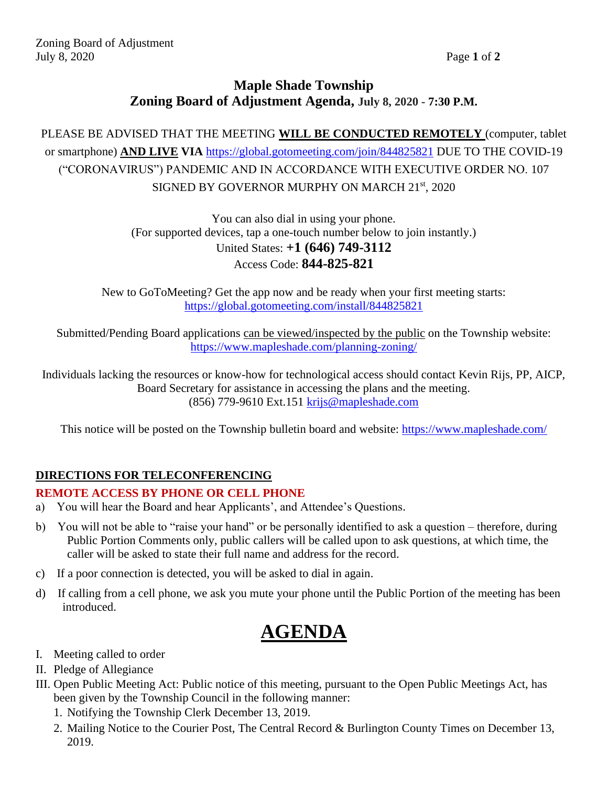## **Maple Shade Township Zoning Board of Adjustment Agenda, July 8, 2020 - 7:30 P.M.**

PLEASE BE ADVISED THAT THE MEETING **WILL BE CONDUCTED REMOTELY** (computer, tablet or smartphone) **AND LIVE VIA** <https://global.gotomeeting.com/join/844825821> DUE TO THE COVID-19 ("CORONAVIRUS") PANDEMIC AND IN ACCORDANCE WITH EXECUTIVE ORDER NO. 107 SIGNED BY GOVERNOR MURPHY ON MARCH 21<sup>st</sup>, 2020

> You can also dial in using your phone. (For supported devices, tap a one-touch number below to join instantly.) United States: **+1 (646) 749-3112** Access Code: **844-825-821**

New to GoToMeeting? Get the app now and be ready when your first meeting starts: <https://global.gotomeeting.com/install/844825821>

Submitted/Pending Board applications can be viewed/inspected by the public on the Township website: <https://www.mapleshade.com/planning-zoning/>

Individuals lacking the resources or know-how for technological access should contact Kevin Rijs, PP, AICP, Board Secretary for assistance in accessing the plans and the meeting. (856) 779-9610 Ext.151 [krijs@mapleshade.com](mailto:krijs@mapleshade.com)

This notice will be posted on the Township bulletin board and website:<https://www.mapleshade.com/>

### **DIRECTIONS FOR TELECONFERENCING**

#### **REMOTE ACCESS BY PHONE OR CELL PHONE**

- a) You will hear the Board and hear Applicants', and Attendee's Questions.
- b) You will not be able to "raise your hand" or be personally identified to ask a question therefore, during Public Portion Comments only, public callers will be called upon to ask questions, at which time, the caller will be asked to state their full name and address for the record.
- c) If a poor connection is detected, you will be asked to dial in again.
- d) If calling from a cell phone, we ask you mute your phone until the Public Portion of the meeting has been introduced.

# **AGENDA**

- I. Meeting called to order
- II. Pledge of Allegiance
- III. Open Public Meeting Act: Public notice of this meeting, pursuant to the Open Public Meetings Act, has been given by the Township Council in the following manner:
	- 1. Notifying the Township Clerk December 13, 2019.
	- 2. Mailing Notice to the Courier Post, The Central Record & Burlington County Times on December 13, 2019.